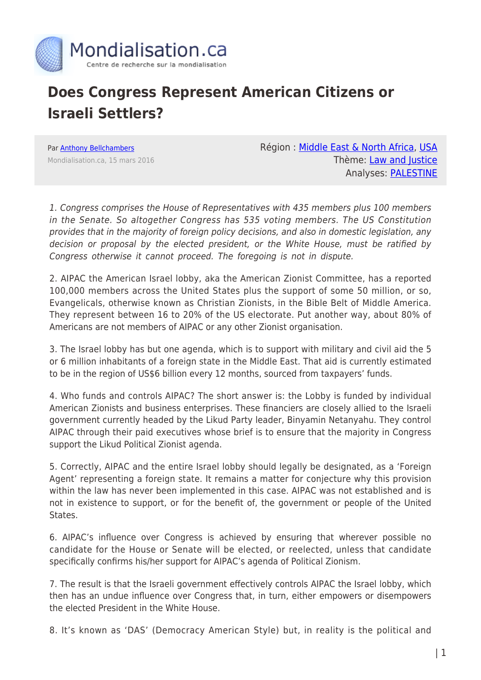

## **Does Congress Represent American Citizens or Israeli Settlers?**

Par [Anthony Bellchambers](https://www.mondialisation.ca/author/bellchambers) Mondialisation.ca, 15 mars 2016 Région : [Middle East & North Africa,](https://www.mondialisation.ca/region/middle-east) [USA](https://www.mondialisation.ca/region/usa) Thème: [Law and Justice](https://www.mondialisation.ca/theme/law-and-justice) Analyses: [PALESTINE](https://www.mondialisation.ca/indepthreport/palestine)

1. Congress comprises the House of Representatives with 435 members plus 100 members in the Senate. So altogether Congress has 535 voting members. The US Constitution provides that in the majority of foreign policy decisions, and also in domestic legislation, any decision or proposal by the elected president, or the White House, must be ratified by Congress otherwise it cannot proceed. The foregoing is not in dispute.

2. AIPAC the American Israel lobby, aka the American Zionist Committee, has a reported 100,000 members across the United States plus the support of some 50 million, or so, Evangelicals, otherwise known as Christian Zionists, in the Bible Belt of Middle America. They represent between 16 to 20% of the US electorate. Put another way, about 80% of Americans are not members of AIPAC or any other Zionist organisation.

3. The Israel lobby has but one agenda, which is to support with military and civil aid the 5 or 6 million inhabitants of a foreign state in the Middle East. That aid is currently estimated to be in the region of US\$6 billion every 12 months, sourced from taxpayers' funds.

4. Who funds and controls AIPAC? The short answer is: the Lobby is funded by individual American Zionists and business enterprises. These financiers are closely allied to the Israeli government currently headed by the Likud Party leader, Binyamin Netanyahu. They control AIPAC through their paid executives whose brief is to ensure that the majority in Congress support the Likud Political Zionist agenda.

5. Correctly, AIPAC and the entire Israel lobby should legally be designated, as a 'Foreign Agent' representing a foreign state. It remains a matter for conjecture why this provision within the law has never been implemented in this case. AIPAC was not established and is not in existence to support, or for the benefit of, the government or people of the United States.

6. AIPAC's influence over Congress is achieved by ensuring that wherever possible no candidate for the House or Senate will be elected, or reelected, unless that candidate specifically confirms his/her support for AIPAC's agenda of Political Zionism.

7. The result is that the Israeli government effectively controls AIPAC the Israel lobby, which then has an undue influence over Congress that, in turn, either empowers or disempowers the elected President in the White House.

8. It's known as 'DAS' (Democracy American Style) but, in reality is the political and